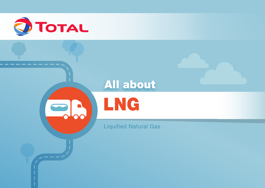

# All about



Liquified Natural Gas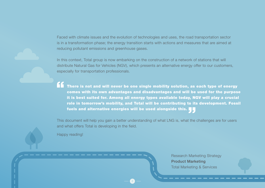Faced with climate issues and the evolution of technologies and uses, the road transportation sector is in a transformation phase; the energy transition starts with actions and measures that are aimed at reducing pollutant emissions and greenhouse gases.

In this context, Total group is now embarking on the construction of a network of stations that will distribute Natural Gas for Vehicles (NGV), which presents an alternative energy offer to our customers, especially for transportation professionals.

There is not and will never be one single mobility solution, as each type of energy comes with its own advantages and disadvantages and will be used for the purpose it is best suited for. Among all energy types available today, NGV will play a crucial role in tomorrow's mobility, and Total will be contributing to its development. Fossil fuels and alternative energies will be used alongside this.

This document will help you gain a better understanding of what LNG is, what the challenges are for users and what offers Total is developing in the field.

2

Happy reading!

Research Marketing Strategy Product Marketing Total Marketing & Services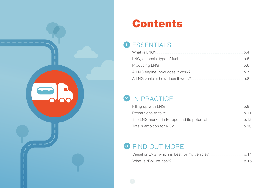

# **Contents**

## **1** ESSENTIALS

| What is LNG?                                                      |  |
|-------------------------------------------------------------------|--|
|                                                                   |  |
|                                                                   |  |
|                                                                   |  |
| A LNG vehicle: how does it work? ____________________________ p.8 |  |

## 2 IN PRACTICE

| The LNG market in Europe and its potential |  |
|--------------------------------------------|--|
|                                            |  |

## **3 FIND OUT MORE**

| Diesel or LNG: which is best for my vehicle?        |         |
|-----------------------------------------------------|---------|
| What is "Boil-off gas"?<br>________________________ | $-D.15$ |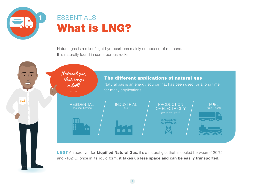<span id="page-3-0"></span>

## **ESSENTIALS** What is LNG?

Natural gas is a mix of light hydrocarbons mainly composed of methane. It is naturally found in some porous rocks.



LNG? An acronym for **Liquified Natural Gas**, it's a natural gas that is cooled between -120°C and -162°C: once in its liquid form, **it takes up less space and can be easily transported.**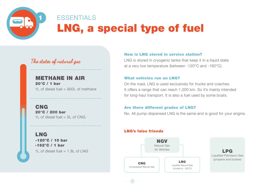<span id="page-4-0"></span>

## **FSSENTIALS** LNG, a special type of fuel

### **The states of natural gas**

### METHANE IN AIR 20°C / 1 bar

1L of diesel fuel  $= 900$ L of methane

CNG 20°C / 200 bar 1L of diesel fuel  $= 5$ L of CNG

### LNG

-120°C / 10 bar -162°C / 1 bar 1L of diesel fuel  $= 1.8$ L of LNG

#### How is LNG stored in service station?

LNG is stored in cryogenic tanks that keep it in a liquid state at a very low temperature (between -120°C and -160°C).

#### What vehicles run on LNG?

On the road, LNG is used exclusively for trucks and coaches. It offers a range that can reach 1,500 km. So it's mainly intended for long-haul transport. It is also a fuel used by some boats.

#### Are there different grades of LNG?

No. All pump-dispensed LNG is the same and is good for your engine.

#### LNG's false friends

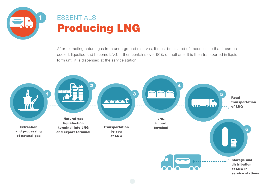<span id="page-5-0"></span>

## Producing LNG **ESSENTIALS**

After extracting natural gas from underground reserves, it must be cleared of impurities so that it can be cooled, liquefied and become LNG. It then contains over 90% of methane. It is then transported in liquid form until it is dispensed at the service station.

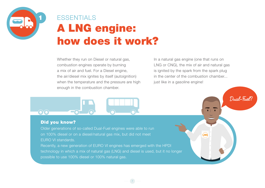<span id="page-6-0"></span>

# A LNG engine: how does it work? **ESSENTIALS**

Whether they run on Diesel or natural gas, combustion engines operate by burning a mix of air and fuel. For a Diesel engine, the air/diesel mix ignites by itself (autoignition) when the temperature and the pressure are high enough in the combustion chamber.

In a natural gas engine (one that runs on LNG or CNG), the mix of air and natural gas is ignited by the spark from the spark plug in the center of the combustion chamber... just like in a gasoline engine!

LNG

**Dual-Fuel?**



#### Did you know?

Older generations of so-called Dual-Fuel engines were able to run on 100% diesel or on a diesel/natural gas mix, but did not meet EURO VI standards.

Recently, a new generation of EURO VI engines has emerged with the HPDI technology in which a mix of natural gas (LNG) and diesel is used, but it no longer possible to use 100% diesel or 100% natural gas.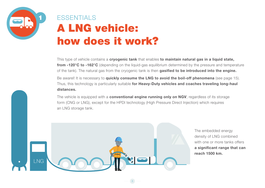<span id="page-7-0"></span>

# A LNG vehicle: how does it work? **FSSENTIALS**

This type of vehicle contains a **cryogenic tank** that enables **to maintain natural gas in a liquid state, from -120°C to -162°C** (depending on the liquid-gas equilibrium determined by the pressure and temperature of the tank). The natural gas from the cryogenic tank is then **gasified to be introduced into the engine.**

Be awarel! It is necessary to **quickly consume the LNG to avoid the boil-off phenomena** (see page 15). Thus, this technology is particularly suitable **for Heavy-Duty vehicles and coaches traveling long-haul distances.**

The vehicle is equipped with a **conventional engine running only on NGV**, regardless of its storage form (CNG or LNG), except for the HPDI technology (High Pressure Direct Injection) which requires an LNG storage tank.

8



The embedded energy density of LNG combined with one or more tanks offers **a significant range that can reach 1500 km.**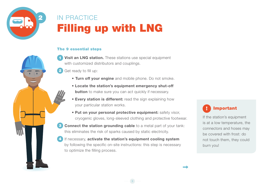<span id="page-8-0"></span>

## Filling up with LNG IN PRACTICE

#### The 9 essential steps

- **Visit an LNG station.** These stations use special equipment with customized distributors and couplings. 1
- Get ready to fill up: 2
	- **• Turn off your engine** and mobile phone. Do not smoke.
	- **Locate the station's equipment emergency shut-off button** to make sure you can act quickly if necessary.
	- **Every station is different:** read the sign explaining how your particular station works.
	- **Put on your personal protective equipment:** safety visor, cryogenic gloves, long-sleeved clothing and protective footwear.

9

**Connect the station grounding cable** to a metal part of your tank: this eliminates the risk of sparks caused by static electricity. 3

If necessary, **activate the station's equipment cooling system** by following the specific on-site instructions: this step is necessary to optimize the filling process. 4



If the station's equipment is at a low temperature, the connectors and hoses may be covered with frost: do not touch them, they could burn you!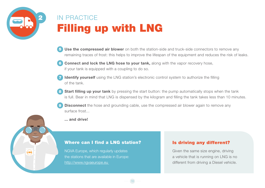

LNG

## Filling up with LNG IN PRACTICE

- **Use the compressed air blower** on both the station-side and truck-side connectors to remove any remaining traces of frost: this helps to improve the lifespan of the equipment and reduces the risk of leaks. 5
- **6** Connect and lock the LNG hose to your tank, along with the vapor recovery hose, if your tank is equipped with a coupling to do so.

10

- **Identify yourself** using the LNG station's electronic control system to authorize the filling of the tank. 7
- **Start filling up your tank** by pressing the start button: the pump automatically stops when the tank is full. Bear in mind that LNG is dispensed by the kilogram and filling the tank takes less than 10 minutes. 8
- **Disconnect** the hose and grounding cable, use the compressed air blower again to remove any surface frost... 9
	- **... and drive!**

### Where can I find a LNG station?

NGVA Europe, which regularly updates the stations that are available in Europe: http://www.ngvaeurope.eu

### Is driving any different?

Given the same size engine, driving a vehicle that is running on LNG is no different from driving a Diesel vehicle.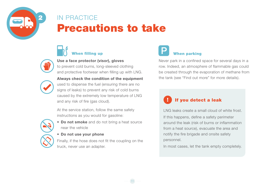<span id="page-10-0"></span>

## Precautions to take IN PRACTICE



**Use a face protector (visor), gloves**

to prevent cold burns, long-sleeved clothing and protective footwear when filling up with LNG.



**Always check the condition of the equipment**  used to dispense the fuel (ensuring there are no signs of leaks) to prevent any risk of cold burns caused by the extremely low temperature of LNG and any risk of fire (gas cloud).

At the service station, follow the same safety instructions as you would for gasoline:



- **Do not smoke** and do not bring a heat source near the vehicle
- **Do not use your phone**

Finally, if the hose does not fit the coupling on the truck, never use an adapter.

11

## When filling up No. 2008 and the United States of the When parking

Never park in a confined space for several days in a row. Indeed, an atmosphere of flammable gas could be created through the evaporation of methane from the tank (see "Find out more" for more details).

## If you detect a leak

LNG leaks create a small cloud of white frost. If this happens, define a safety perimeter around the leak (risk of burns or inflammation from a heat source), evacuate the area and notify the fire brigade and onsite safety personnel.

In most cases, let the tank empty completely.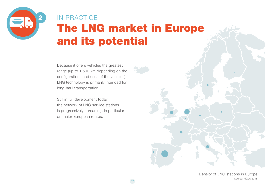<span id="page-11-0"></span>

# The LNG market in Europe and its potential IN PRACTICE

12

Because it offers vehicles the greatest range (up to 1,500 km depending on the configurations and uses of the vehicles), LNG technology is primarily intended for long-haul transportation.

Still in full development today, the network of LNG service stations is progressively spreading, in particular on major European routes.

> Density of LNG stations in Europe Source: NGVA 2018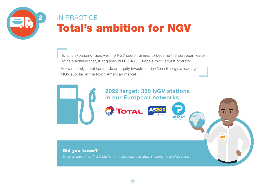<span id="page-12-0"></span>

## Total's ambition for NGV IN PRACTICE

Total is expanding rapidly in the NGV sector, aiming to become the European leader. To help achieve that, it acquired **PITPOINT**, Europe's third-largest operator.

More recently, Total has made an equity investment in Clean Energy, a leading NGV supplier in the North American market.



LNG

#### Did you know?

Total already has NGV stations in Europe, but also in Egypt and Pakistan.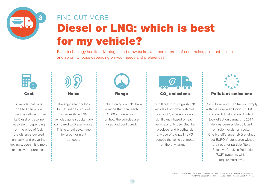<span id="page-13-0"></span>

# Diesel or LNG: which is best for my vehicle? FIND OUT MORE

Each technology has its advantages and drawbacks, whether in terms of cost, noise, pollutant emissions and so on. Choose depending on your needs and preferences.



A vehicle that runs on LNG can prove more cost-efficient than its Diesel or gasoline equivalent, depending on the price of fuel, the distance covered annually, and prevailing tax laws, even if it is more expensive to purchase.



The engine technology for natural gas reduces noise levels in LNG vehicles quite substantially compared to Diesel trucks. This is a real advantage for urban or night transport.



Trucks running on LNG have a range that can reach 1,500 km depending on how the vehicles are used and configured.

14



It's difficult to distinguish LNG vehicles from other vehicles, since CO<sub>2</sub> emissions vary significantly based on each vehicle and its use. But like biodiesel and bioethanol, any use of biogas in LNG reduces the vehicle's impact on the environment.



#### Cost i Noise Range i CO<sub>c</sub>emissions i Pollutant emissions

Both Diesel and LNG trucks comply with the European Union's EURO VI standard. That standard, which took effect on January 1, 2014, defines permissible pollutant emission levels for trucks. One big difference: LNG engines meet EURO VI standards without the need for particle filters or Selective Catalytic Reduction (SCR) systems, which require AdBlue®\*.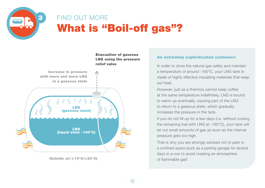<span id="page-14-0"></span>

## What is "Boil-off gas"? FIND OUT MORE

15



Outside air (-10°C/+30°C)

#### An extremely sophisticated container!

In order to store the natural gas safely and maintain a temperature of around -160°C, your LNG tank is made of highly effective insulating materials that keep out heat.

However, just as a thermos cannot keep coffee at the same temperature indefinitely, LNG is bound to warm up eventually, causing part of the LNG to return to a gaseous state, which gradually increases the pressure in the tank.

If you do not fill up for a few days (i.e. without cooling the remaining fuel with LNG at -160°C), your tank will let out small amounts of gas as soon as the internal pressure gets too high.

That is why you are strongly advised not to park in a confined space (such as a parking garage) for several days in a row to avoid creating an atmosphere of flammable gas!